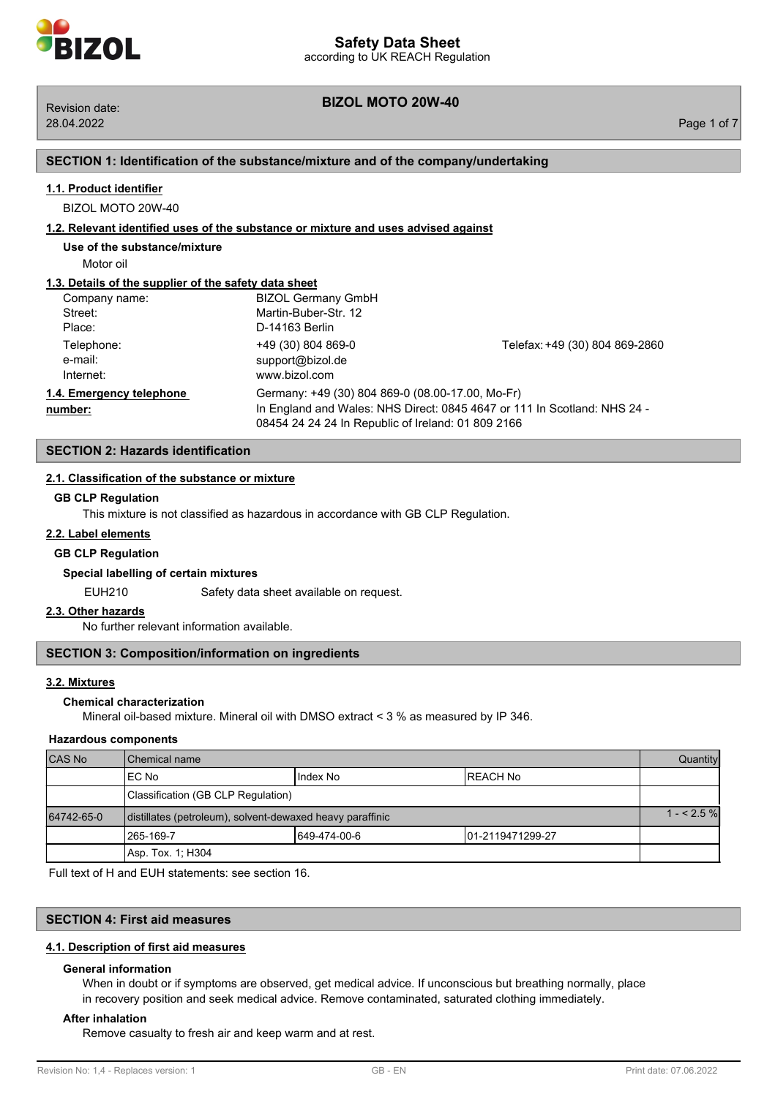# **BIZOL MOTO 20W-40** Revision date:

## **SECTION 1: Identification of the substance/mixture and of the company/undertaking**

## **1.1. Product identifier**

BIZOL MOTO 20W-40

## **1.2. Relevant identified uses of the substance or mixture and uses advised against**

**Use of the substance/mixture**

Motor oil

## **1.3. Details of the supplier of the safety data sheet**

| Company name:                       | <b>BIZOL Germany GmbH</b>                                                                                                                                                          |                                |
|-------------------------------------|------------------------------------------------------------------------------------------------------------------------------------------------------------------------------------|--------------------------------|
| Street:                             | Martin-Buber-Str. 12                                                                                                                                                               |                                |
| Place:                              | D-14163 Berlin                                                                                                                                                                     |                                |
| Telephone:<br>e-mail:<br>Internet:  | +49 (30) 804 869-0<br>support@bizol.de<br>www.bizol.com                                                                                                                            | Telefax: +49 (30) 804 869-2860 |
| 1.4. Emergency telephone<br>number: | Germany: +49 (30) 804 869-0 (08.00-17.00, Mo-Fr)<br>In England and Wales: NHS Direct: 0845 4647 or 111 In Scotland: NHS 24 -<br>08454 24 24 24 In Republic of Ireland: 01 809 2166 |                                |

## **SECTION 2: Hazards identification**

## **2.1. Classification of the substance or mixture**

## **GB CLP Regulation**

This mixture is not classified as hazardous in accordance with GB CLP Regulation.

## **2.2. Label elements**

### **GB CLP Regulation**

## **Special labelling of certain mixtures**

EUH210 Safety data sheet available on request.

#### **2.3. Other hazards**

No further relevant information available.

## **SECTION 3: Composition/information on ingredients**

## **3.2. Mixtures**

## **Chemical characterization**

Mineral oil-based mixture. Mineral oil with DMSO extract < 3 % as measured by IP 346.

## **Hazardous components**

| <b>CAS No</b> | <b>I</b> Chemical name                                    |              | <b>Quantity</b>   |  |
|---------------|-----------------------------------------------------------|--------------|-------------------|--|
|               | IEC No                                                    | Index No     | IREACH No         |  |
|               | Classification (GB CLP Regulation)                        |              |                   |  |
| 64742-65-0    | distillates (petroleum), solvent-dewaxed heavy paraffinic |              | $1 - 2.5%$        |  |
|               | 1265-169-7                                                | 649-474-00-6 | 101-2119471299-27 |  |
|               | Asp. Tox. 1: H304                                         |              |                   |  |

Full text of H and EUH statements: see section 16.

## **SECTION 4: First aid measures**

#### **4.1. Description of first aid measures**

#### **General information**

When in doubt or if symptoms are observed, get medical advice. If unconscious but breathing normally, place in recovery position and seek medical advice. Remove contaminated, saturated clothing immediately.

#### **After inhalation**

Remove casualty to fresh air and keep warm and at rest.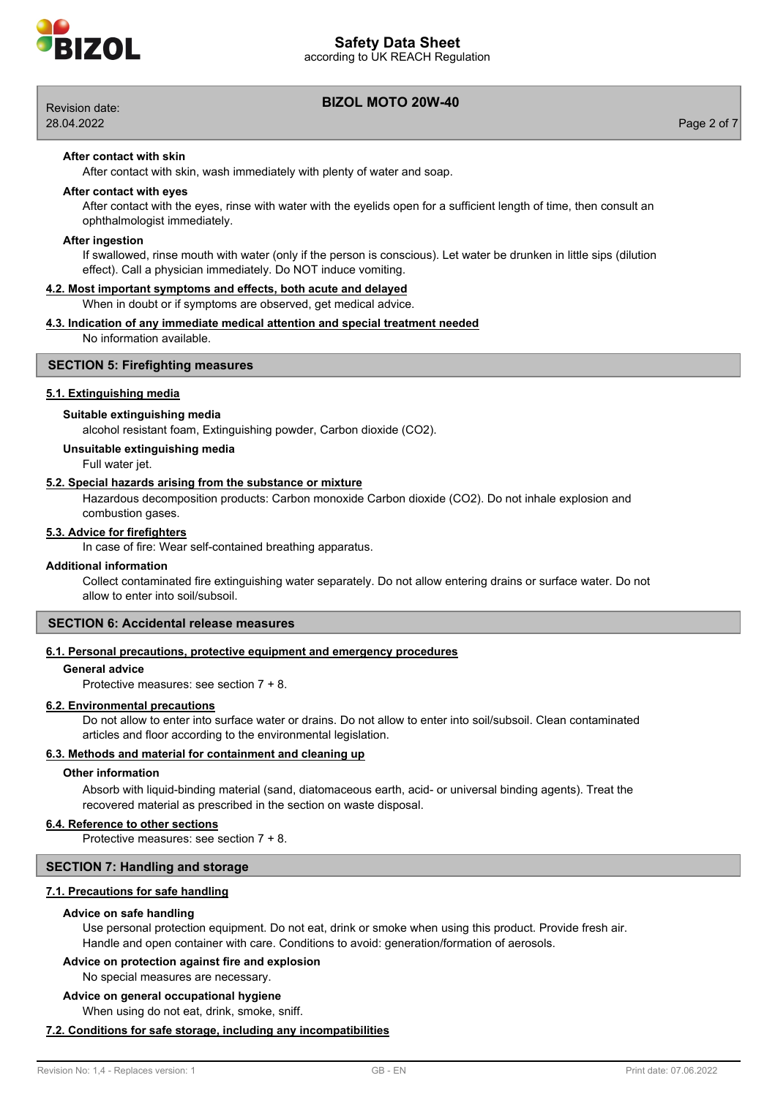

# **BIZOL MOTO 20W-40** Revision date:

according to UK REACH Regulation **Safety Data Sheet**

28.04.2022 Page 2 of 7

## **After contact with skin**

After contact with skin, wash immediately with plenty of water and soap.

## **After contact with eyes**

After contact with the eyes, rinse with water with the eyelids open for a sufficient length of time, then consult an ophthalmologist immediately.

#### **After ingestion**

If swallowed, rinse mouth with water (only if the person is conscious). Let water be drunken in little sips (dilution effect). Call a physician immediately. Do NOT induce vomiting.

#### **4.2. Most important symptoms and effects, both acute and delayed**

When in doubt or if symptoms are observed, get medical advice.

#### **4.3. Indication of any immediate medical attention and special treatment needed**

No information available.

## **SECTION 5: Firefighting measures**

## **5.1. Extinguishing media**

## **Suitable extinguishing media**

alcohol resistant foam, Extinguishing powder, Carbon dioxide (CO2).

## **Unsuitable extinguishing media**

Full water jet.

#### **5.2. Special hazards arising from the substance or mixture**

Hazardous decomposition products: Carbon monoxide Carbon dioxide (CO2). Do not inhale explosion and combustion gases.

## **5.3. Advice for firefighters**

In case of fire: Wear self-contained breathing apparatus.

#### **Additional information**

Collect contaminated fire extinguishing water separately. Do not allow entering drains or surface water. Do not allow to enter into soil/subsoil.

## **SECTION 6: Accidental release measures**

## **6.1. Personal precautions, protective equipment and emergency procedures**

## **General advice**

Protective measures: see section 7 + 8.

### **6.2. Environmental precautions**

Do not allow to enter into surface water or drains. Do not allow to enter into soil/subsoil. Clean contaminated articles and floor according to the environmental legislation.

## **6.3. Methods and material for containment and cleaning up**

### **Other information**

Absorb with liquid-binding material (sand, diatomaceous earth, acid- or universal binding agents). Treat the recovered material as prescribed in the section on waste disposal.

#### **6.4. Reference to other sections**

Protective measures: see section 7 + 8.

## **SECTION 7: Handling and storage**

## **7.1. Precautions for safe handling**

#### **Advice on safe handling**

Use personal protection equipment. Do not eat, drink or smoke when using this product. Provide fresh air. Handle and open container with care. Conditions to avoid: generation/formation of aerosols.

## **Advice on protection against fire and explosion**

No special measures are necessary.

#### **Advice on general occupational hygiene**

When using do not eat, drink, smoke, sniff.

## **7.2. Conditions for safe storage, including any incompatibilities**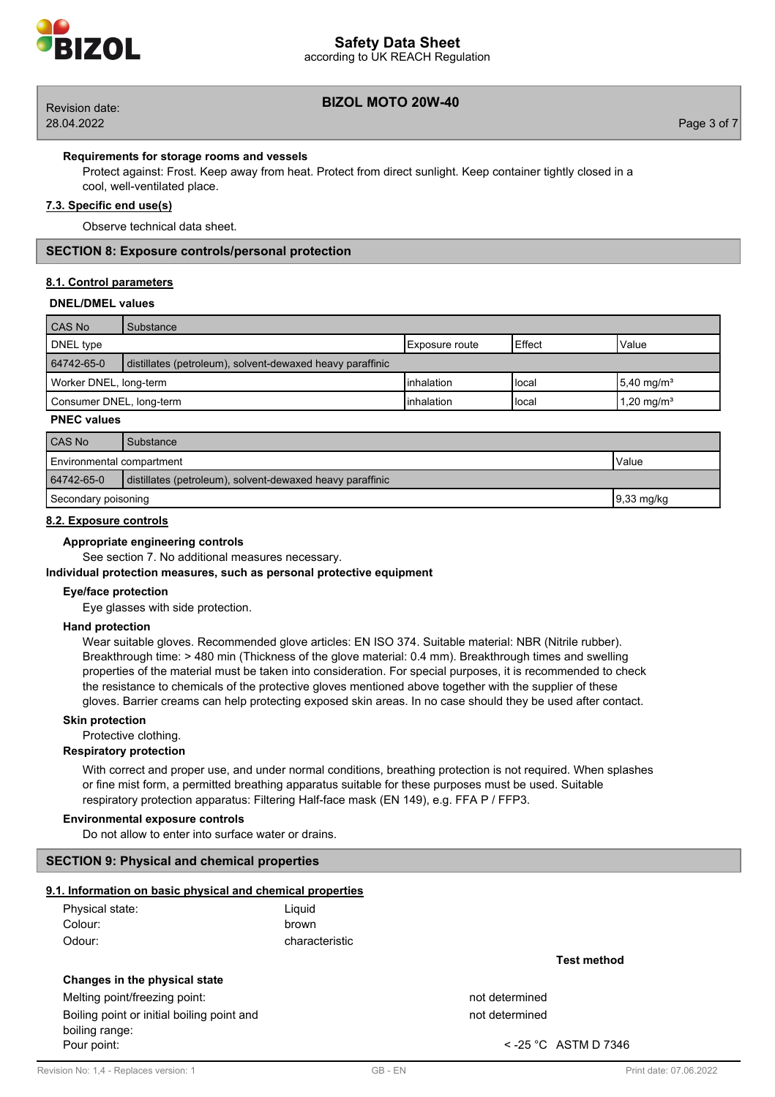

## according to UK REACH Regulation **Safety Data Sheet**

## **BIZOL MOTO 20W-40** Revision date:

## **Requirements for storage rooms and vessels**

Protect against: Frost. Keep away from heat. Protect from direct sunlight. Keep container tightly closed in a cool, well-ventilated place.

## **7.3. Specific end use(s)**

Observe technical data sheet.

## **SECTION 8: Exposure controls/personal protection**

## **8.1. Control parameters**

#### **DNEL/DMEL values**

| CAS No                                                                  | Substance |                 |        |                          |
|-------------------------------------------------------------------------|-----------|-----------------|--------|--------------------------|
| DNEL type                                                               |           | IExposure route | Effect | Value                    |
| 64742-65-0<br>distillates (petroleum), solvent-dewaxed heavy paraffinic |           |                 |        |                          |
| Worker DNEL, long-term                                                  |           | Iinhalation     | Hocal  | $5,40$ mg/m <sup>3</sup> |
| Consumer DNEL, long-term                                                |           | Iinhalation     | Hocal  | 1,20 mg/m <sup>3</sup>   |

## **PNEC values**

| CAS No                                                                  | Substance |  |
|-------------------------------------------------------------------------|-----------|--|
| Environmental compartment<br>Value                                      |           |  |
| 64742-65-0<br>distillates (petroleum), solvent-dewaxed heavy paraffinic |           |  |
| $9,33 \text{ mg/kg}$<br>Secondary poisoning                             |           |  |

## **8.2. Exposure controls**

## **Appropriate engineering controls**

See section 7. No additional measures necessary.

#### **Individual protection measures, such as personal protective equipment**

#### **Eye/face protection**

Eye glasses with side protection.

## **Hand protection**

Wear suitable gloves. Recommended glove articles: EN ISO 374. Suitable material: NBR (Nitrile rubber). Breakthrough time: > 480 min (Thickness of the glove material: 0.4 mm). Breakthrough times and swelling properties of the material must be taken into consideration. For special purposes, it is recommended to check the resistance to chemicals of the protective gloves mentioned above together with the supplier of these gloves. Barrier creams can help protecting exposed skin areas. In no case should they be used after contact.

## **Skin protection**

Protective clothing.

# **Respiratory protection**

With correct and proper use, and under normal conditions, breathing protection is not required. When splashes or fine mist form, a permitted breathing apparatus suitable for these purposes must be used. Suitable respiratory protection apparatus: Filtering Half-face mask (EN 149), e.g. FFA P / FFP3.

#### **Environmental exposure controls**

Do not allow to enter into surface water or drains.

## **SECTION 9: Physical and chemical properties**

#### **9.1. Information on basic physical and chemical properties**

| Physical state: | Liquid         |
|-----------------|----------------|
| Colour:         | brown          |
| Odour:          | characteristic |

## **Changes in the physical state**

Melting point/freezing point: not determined

Boiling point or initial boiling point and not determined not determined boiling range: Pour point:  $\sim$  -25 °C ASTM D 7346

**Test method**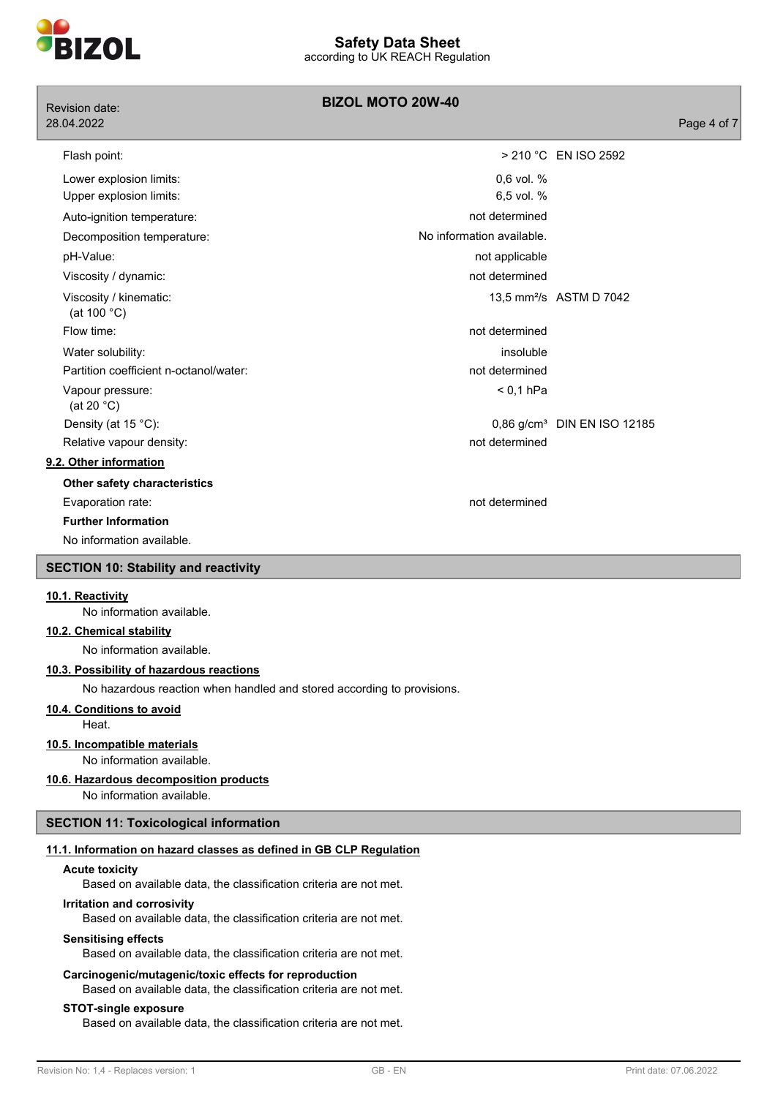

| Revision date:                              | <b>BIZOL MOTO 20W-40</b>  |                                         |
|---------------------------------------------|---------------------------|-----------------------------------------|
| 28.04.2022                                  |                           | Page 4 of 7                             |
| Flash point:                                |                           | > 210 °C EN ISO 2592                    |
| Lower explosion limits:                     | 0,6 vol. %                |                                         |
| Upper explosion limits:                     | 6,5 vol. %                |                                         |
| Auto-ignition temperature:                  | not determined            |                                         |
| Decomposition temperature:                  | No information available. |                                         |
| pH-Value:                                   | not applicable            |                                         |
| Viscosity / dynamic:                        | not determined            |                                         |
| Viscosity / kinematic:<br>(at 100 °C)       |                           | 13,5 mm <sup>2</sup> /s ASTM D 7042     |
| Flow time:                                  | not determined            |                                         |
| Water solubility:                           | insoluble                 |                                         |
| Partition coefficient n-octanol/water:      | not determined            |                                         |
| Vapour pressure:<br>(at 20 $°C$ )           | $< 0.1$ hPa               |                                         |
| Density (at 15 °C):                         |                           | 0,86 g/cm <sup>3</sup> DIN EN ISO 12185 |
| Relative vapour density:                    | not determined            |                                         |
| 9.2. Other information                      |                           |                                         |
| Other safety characteristics                |                           |                                         |
| Evaporation rate:                           | not determined            |                                         |
| <b>Further Information</b>                  |                           |                                         |
| No information available.                   |                           |                                         |
| <b>SECTION 10: Stability and reactivity</b> |                           |                                         |
| 10.1. Reactivity                            |                           |                                         |

No information available.

## **10.2. Chemical stability**

No information available.

## **10.3. Possibility of hazardous reactions**

No hazardous reaction when handled and stored according to provisions.

## **10.4. Conditions to avoid**

Heat.

#### **10.5. Incompatible materials**

No information available.

## **10.6. Hazardous decomposition products**

No information available.

## **SECTION 11: Toxicological information**

## **11.1. Information on hazard classes as defined in GB CLP Regulation**

#### **Acute toxicity**

Based on available data, the classification criteria are not met.

## **Irritation and corrosivity**

Based on available data, the classification criteria are not met.

### **Sensitising effects**

Based on available data, the classification criteria are not met.

## **Carcinogenic/mutagenic/toxic effects for reproduction**

Based on available data, the classification criteria are not met.

#### **STOT-single exposure**

Based on available data, the classification criteria are not met.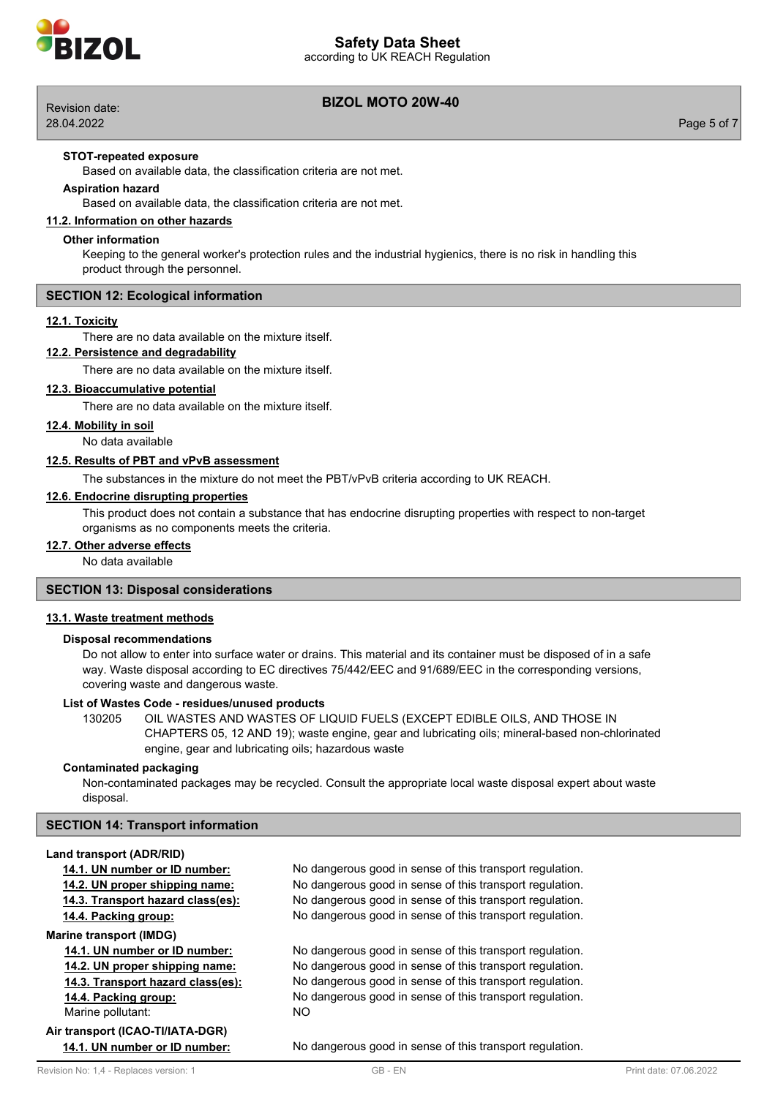

according to UK REACH Regulation



28.04.2022 Page 5 of 7

## **BIZOL MOTO 20W-40** Revision date:

## **STOT-repeated exposure**

Based on available data, the classification criteria are not met.

## **Aspiration hazard**

Based on available data, the classification criteria are not met.

#### **11.2. Information on other hazards**

#### **Other information**

Keeping to the general worker's protection rules and the industrial hygienics, there is no risk in handling this product through the personnel.

#### **SECTION 12: Ecological information**

#### **12.1. Toxicity**

There are no data available on the mixture itself.

## **12.2. Persistence and degradability**

There are no data available on the mixture itself.

## **12.3. Bioaccumulative potential**

There are no data available on the mixture itself.

## **12.4. Mobility in soil**

No data available

## **12.5. Results of PBT and vPvB assessment**

The substances in the mixture do not meet the PBT/vPvB criteria according to UK REACH.

#### **12.6. Endocrine disrupting properties**

This product does not contain a substance that has endocrine disrupting properties with respect to non-target organisms as no components meets the criteria.

#### **12.7. Other adverse effects**

No data available

## **SECTION 13: Disposal considerations**

## **13.1. Waste treatment methods**

## **Disposal recommendations**

Do not allow to enter into surface water or drains. This material and its container must be disposed of in a safe way. Waste disposal according to EC directives 75/442/EEC and 91/689/EEC in the corresponding versions, covering waste and dangerous waste.

## **List of Wastes Code - residues/unused products**

130205 OIL WASTES AND WASTES OF LIQUID FUELS (EXCEPT EDIBLE OILS, AND THOSE IN CHAPTERS 05, 12 AND 19); waste engine, gear and lubricating oils; mineral-based non-chlorinated engine, gear and lubricating oils; hazardous waste

## **Contaminated packaging**

Non-contaminated packages may be recycled. Consult the appropriate local waste disposal expert about waste disposal.

## **SECTION 14: Transport information**

#### **Land transport (ADR/RID)**

**Marine transport (IMDG)**

Marine pollutant: NO

# **Air transport (ICAO-TI/IATA-DGR)**

**14.1. UN number or ID number:** No dangerous good in sense of this transport regulation. **14.2. UN proper shipping name:** No dangerous good in sense of this transport regulation. **14.3. Transport hazard class(es):** No dangerous good in sense of this transport regulation. **14.4. Packing group:** No dangerous good in sense of this transport regulation.

**14.1. UN number or ID number:** No dangerous good in sense of this transport regulation. **14.2. UN proper shipping name:** No dangerous good in sense of this transport regulation. **14.3. Transport hazard class(es):** No dangerous good in sense of this transport regulation. **14.4. Packing group:** No dangerous good in sense of this transport regulation.

**14.1. UN number or ID number:** No dangerous good in sense of this transport regulation.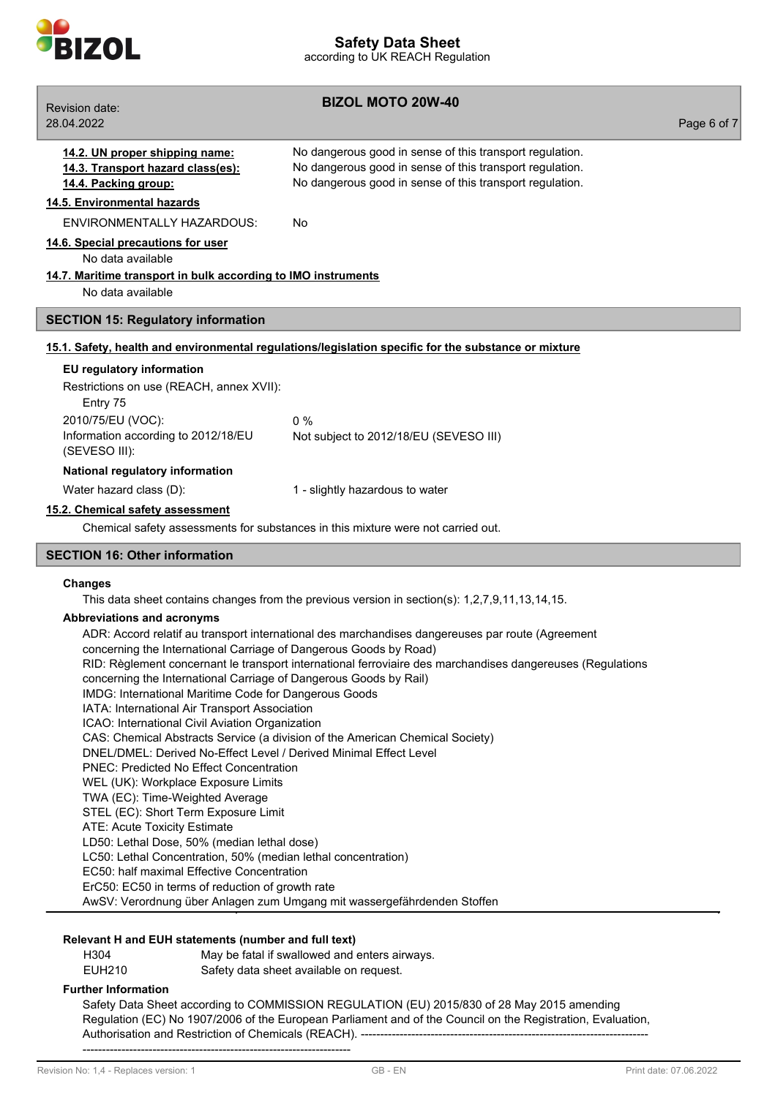

**BIZOL MOTO 20W-40** Revision date: 28.04.2022 Page 6 of 7 **14.2. UN proper shipping name:** No dangerous good in sense of this transport regulation. **14.3. Transport hazard class(es):** No dangerous good in sense of this transport regulation. **14.4. Packing group:** No dangerous good in sense of this transport regulation. **14.5. Environmental hazards** ENVIRONMENTALLY HAZARDOUS: No **14.6. Special precautions for user** No data available **14.7. Maritime transport in bulk according to IMO instruments** No data available **SECTION 15: Regulatory information 15.1. Safety, health and environmental regulations/legislation specific for the substance or mixture EU regulatory information** Restrictions on use (REACH, annex XVII): Entry 75 2010/75/EU (VOC): 0 % Information according to 2012/18/EU (SEVESO III): Not subject to 2012/18/EU (SEVESO III) **National regulatory information** Water hazard class (D):  $1 -$  slightly hazardous to water **15.2. Chemical safety assessment** Chemical safety assessments for substances in this mixture were not carried out. **SECTION 16: Other information Changes** This data sheet contains changes from the previous version in section(s): 1,2,7,9,11,13,14,15. **Abbreviations and acronyms** ADR: Accord relatif au transport international des marchandises dangereuses par route (Agreement concerning the International Carriage of Dangerous Goods by Road) RID: Règlement concernant le transport international ferroviaire des marchandises dangereuses (Regulations concerning the International Carriage of Dangerous Goods by Rail) IMDG: International Maritime Code for Dangerous Goods IATA: International Air Transport Association ICAO: International Civil Aviation Organization CAS: Chemical Abstracts Service (a division of the American Chemical Society) DNEL/DMEL: Derived No-Effect Level / Derived Minimal Effect Level PNEC: Predicted No Effect Concentration

- WEL (UK): Workplace Exposure Limits
- TWA (EC): Time-Weighted Average
- STEL (EC): Short Term Exposure Limit
- ATE: Acute Toxicity Estimate
- LD50: Lethal Dose, 50% (median lethal dose)
- LC50: Lethal Concentration, 50% (median lethal concentration)
- EC50: half maximal Effective Concentration
- ErC50: EC50 in terms of reduction of growth rate

AwSV: Verordnung über Anlagen zum Umgang mit wassergefährdenden Stoffen

## **Relevant H and EUH statements (number and full text)**

| H304   | May be fatal if swallowed and enters airways. |
|--------|-----------------------------------------------|
| EUH210 | Safety data sheet available on request.       |

## **Further Information**

Safety Data Sheet according to COMMISSION REGULATION (EU) 2015/830 of 28 May 2015 amending Regulation (EC) No 1907/2006 of the European Parliament and of the Council on the Registration, Evaluation, Authorisation and Restriction of Chemicals (REACH). -------------------------------------------------------------------------------------------------